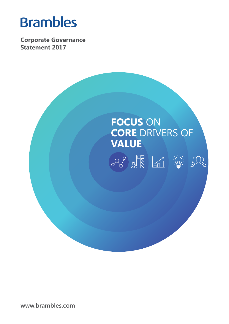# **Brambles**

**Corporate Governance Statement 2017**



**www.brambles.com**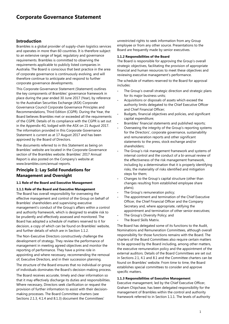# **Corporate Governance Statement**

# **Introduction**

Brambles is a global provider of supply-chain logistics services and operates in more than 60 countries. It is therefore subject to an extensive range of legal, regulatory and governance requirements. Brambles is committed to observing the requirements applicable to publicly listed companies in Australia. The Board is conscious that best practice in the area of corporate governance is continuously evolving, and will therefore continue to anticipate and respond to further corporate governance developments.

This Corporate Governance Statement (Statement) outlines the key components of Brambles' governance framework in place during the year ended 30 June 2017 (Year), by reference to the Australian Securities Exchange (ASX) Corporate Governance Council Corporate Governance Principles and Recommendations, Third Edition (CGPR). During the Year, the Board believes Brambles met or exceeded all the requirements of the CGPR. Details of its compliance with the CGPR is set out in the Appendix 4G, lodged with the ASX on 21 August 2017. The information provided in this Corporate Governance Statement is current as at 17 August 2017 and has been approved by the Board of Directors.

The documents referred to in this Statement as being on Brambles' website are located in the Corporate Governance section of the Brambles website. Brambles' 2017 Annual Report is also posted on the Company's website at www.brambles.com/annual-reports.

# **Principle 1: Lay Solid Foundations for Management and Oversight**

# **1.1 Role of the Board and Executive Management**

#### **1.1.1 Role of the Board and Executive Management**

The Board has overall responsibility for overseeing the effective management and control of the Group on behalf of Brambles' shareholders and supervising executive management's conduct of the Group's affairs within a control and authority framework, which is designed to enable risk to be prudently and effectively assessed and monitored. The Board has adopted a schedule of matters reserved to it for decision, a copy of which can be found on Brambles' website, and further details of which are in Section 1.1.2.

The Non-Executive Directors constructively challenge the development of strategy. They review the performance of management in meeting agreed objectives and monitor the reporting of performance. They have a prime role in appointing and where necessary, recommending the removal of, Executive Directors, and in their succession planning.

The structure of the Board ensures that no individual or group of individuals dominates the Board's decision-making process.

The Board receives accurate, timely and clear information so that it may effectively discharge its duties and responsibilities. Where necessary, Directors seek clarification or request the provision of further information to assist with their decisionmaking processes. The Board Committee charters (see Sections 2.1.3, 4.1.4 and 8.1.3) document the Committees'

unrestricted rights to seek information from any Group employee or from any other source. Presentations to the Board are frequently made by senior executives.

# **1.1.2 Responsibilities of the Board**

The Board is responsible for approving the Group's overall strategic objectives, facilitating the provision of appropriate financial and human resources to meet these objectives and reviewing executive management's performance.

The schedule of matters reserved to the Board for approval includes:

- The Group's overall strategic direction and strategic plans for its major business units;
- Acquisitions or disposals of assets which exceed the authority limits delegated to the Chief Executive Officer and Chief Financial Officer;
- Budgets, financial objectives and policies, and significant capital expenditure;
- Brambles' financial statements and published reports;
- Overseeing the integrity of the Group's reporting systems for the Directors', corporate governance, sustainability and remuneration reports and other significant statements to the press, stock exchange and/or shareholders;
- The Group's risk management framework and systems of internal control and the conduct of a bi-annual review of the effectiveness of the risk management framework, including by a determination that it is properly identifying risks, the materiality of risks identified and mitigation steps for them;
- Changes to the Group's capital structure (other than changes resulting from established employee share plans);
- The Group's remuneration policy;
- The appointment and termination of the Chief Executive Officer, the Chief Financial Officer and the Company Secretary and, where appropriate, ratifying the appointment and termination of other senior executives;
- The Group's Diversity Policy; and
- The Board Skills Matrix.

The Board has delegated some of its functions to the Audit, Nominations and Remuneration Committees, although overall responsibility for those functions remains with the Board. The charters of the Board Committees also require certain matters to be approved by the Board including, among other matters, the executive remuneration policy and the appointment of the external auditors. Details of the Board Committees are set out in Sections 2.1, 4.1 and 8.1 and the Committee charters can be found on Brambles' website. From time to time, the Board establishes special committees to consider and approve specific matters.

# **1.1.3 Responsibilities of Executive Management**

Executive management, led by the Chief Executive Officer, Graham Chipchase, has been delegated responsibility for the management of Brambles within the control and authority framework referred to in Section 1.1.1. The levels of authority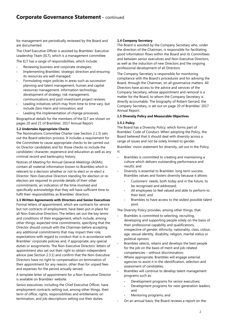for management are periodically reviewed by the Board and are documented.

The Chief Executive Officer is assisted by Brambles' Executive Leadership Team (ELT), which is a management committee.

The ELT has a range of responsibilities, which include:

Reviewing business and corporate strategies;

- Implementing Brambles' strategic direction and ensuring its resources are well managed;
- Formulating major policies in areas such as succession planning and talent management, human and capital resources management, information technology, development of strategy, risk management, communications and post-investment project reviews;
- Leading initiatives which may from time to time vary, but include Zero Harm and innovation; and
- Leading the implementation of change processes.

Biographical details for the members of the ELT are shown on pages 20 and 21 of Brambles' 2017 Annual Report.

# **1.2 Undertake Appropriate Checks**

The Nominations Committee Charter (see Section 2.1.3) sets out the Board selection process. It includes a requirement for the Committee to cause appropriate checks to be carried out on Director candidates and for those checks to include the candidates' character, experience and education as well as any criminal record and bankruptcy history.

Notices of Meeting for Annual General Meetings (AGMs) contain all material information known to Brambles which is relevant to a decision whether or not to elect or re-elect a Director. Non-Executive Directors standing for election or reelection are required to provide details of their other commitments, an indication of the time involved and specifically acknowledge that they will have sufficient time to fulfil their responsibilities as Brambles' directors.

# **1.3 Written Agreements with Directors and Senior Executives**

Formal letters of appointment, which are contracts for service but not contracts of employment, have been put in place for all Non-Executive Directors. The letters set out the key terms and conditions of their engagement, which include, among other things, expected time commitments, specifying that the Director should consult with the Chairman before accepting any additional commitments that may impact their role, expectations with regard to conduct that is in accordance with Brambles' corporate policies and, if appropriate, any special duties or assignments. The Non-Executive Directors' letters of appointment also set out their right to obtain independent advice (see Section 2.3.1) and confirm that the Non-Executive Directors have no right to compensation on termination of their appointment for any reason, other than for unpaid fees and expenses for the period actually served.

A template letter of appointment for a Non-Executive Director is available on Brambles' website.

Senior executives, including the Chief Executive Officer, have employment contracts setting out, among other things, their term of office, rights, responsibilities and entitlements on termination, and job descriptions setting out their duties.

## **1.4 Company Secretary**

The Board is assisted by the Company Secretary who, under the direction of the Chairman, is responsible for facilitating good information flows within the Board and its Committees and between senior executives and Non-Executive Directors, as well as the induction of new Directors and the ongoing professional development of all Directors.

The Company Secretary is responsible for monitoring compliance with the Board's procedures and for advising the Board, through the Chairman, on all governance matters. All Directors have access to the advice and services of the Company Secretary, whose appointment and removal is a matter for the Board, to whom the Company Secretary is directly accountable. The biography of Robert Gerrard, the Company Secretary, is set out on page 20 of Brambles' 2017 Annual Report.

# **1.5 Diversity Policy and Measurable Objectives**

# **1.5.1 Policy**

The Board has a Diversity Policy, which forms part of Brambles' Code of Conduct. When adopting the Policy, the Board believed that it should deal with diversity across a range of issues and not be solely limited to gender.

Brambles' vision statement for diversity, set out in the Policy, is:

- Brambles is committed to creating and maintaining a culture which delivers outstanding performance and results; and
- Diversity is essential to Brambles' long term success. Brambles values and fosters diversity because it allows:
	- Customers' needs, both today and in the future, to be recognised and addressed;
	- All employees to feel valued and able to perform to their best; and
	- Brambles to have access to the widest possible talent pool.

The Diversity Policy provides, among other things, that:

- Brambles is committed to selecting, recruiting, developing and supporting people solely on the basis of their professional capability and qualifications, irrespective of gender, ethnicity, nationality, class, colour, age, sexual identity, disability, religion, marital status or political opinion;
- Brambles selects, retains and develops the best people for the job on the basis of merit and job-related competencies – without discrimination;
- Where appropriate, Brambles will engage external agencies to assist it in the identification, selection and assessment of candidates;
- Brambles will continue to develop talent management programs such as:
	- Development programs for senior executives;
	- Development programs for next-generation leaders; and
	- Mentoring programs; and
- On an annual basis, the Board reviews a report on the: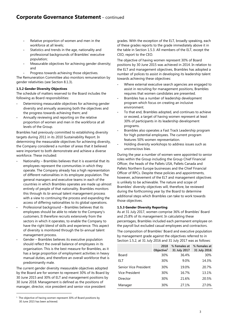- Relative proportion of women and men in the workforce at all levels;
- Statistics and trends in the age, nationality and professional backgrounds of Brambles' executive population;
- Measurable objectives for achieving gender diversity; and
- Progress towards achieving those objectives.

The Remuneration Committee also monitors remuneration by gender relativities (see Section 8.1.3).

# **1.5.2 Gender Diversity Objectives**

The schedule of matters reserved to the Board includes the following as Board responsibilities:

- Determining measurable objectives for achieving gender diversity and annually assessing both the objectives and the progress towards achieving them; and
- Annually reviewing and reporting on the relative proportion of women and men in the workforce at all levels of the Group.

Brambles had previously committed to establishing diversity targets during 2011 in its 2010 Sustainability Report. In determining the measurable objectives for achieving diversity, the Company considered a number of areas that it believed were important to both demonstrate and achieve a diverse workforce. These included:

- Nationality Brambles believes that it is essential that its employees represent the communities in which they operate. The Company already has a high representation of different nationalities in its employee population. The general managers and executive teams in each of the countries in which Brambles operates are made up almost entirely of people of that nationality. Brambles monitors this through its bi-annual talent management process with a view to continuing the process and expanding the access of differing nationalities to its global operations.
- Professional background Brambles believes that its employees should be able to relate to the Company's customers. It therefore recruits extensively from the sectors in which it operates, to enable the Company to have the right blend of skills and experience. This aspect of diversity is monitored through the bi-annual talent management process.
- Gender Brambles believes its executive population should reflect the overall balance of employees in its organisation. This is the best measure for Brambles, as it has a large proportion of employment activities in heavy manual duties, and therefore an overall workforce that is predominantly male.

The current gender diversity measurable objectives adopted by the Board are for women to represent 30% of its Board by 30 June 2015 and 30% of ELT and management positions by 30 June 2018. Management is defined as the positions of manager, director, vice president and senior vice president

 $\overline{a}$ 

grades. With the exception of the ELT, broadly speaking, each of these grades reports to the grade immediately above it in the table in Section 1.5.3. All members of the ELT, except the CEO, report to the CEO.

The objective of having women represent 30% of Board positions by 30 June 2015 was achieved in 2014. In relation to the ELT and management objectives, Brambles has adopted a number of polices to assist in developing its leadership talent towards achieving these objectives:

- Where external executive search agencies are engaged to assist in recruiting for management positions, Brambles requires that women candidates are presented.
- Brambles has a number of leadership development program which focus on creating an inclusive environment.
- To that end, Brambles adopted, and continues to achieve or exceed, a target of having women represent at least 30% of participants in its leadership development programs.
- Brambles also operates a Fast Track Leadership program for high potential employees. The current program features 50% women representation.
- Holding diversity workshops to address issues such as unconscious bias.

During the year a number of women were appointed to senior roles within the Group including the Group Chief Financial Officer, the heads of the Pallets USA, Pallets Canada and Pallets Northern Europe businesses and the Chief Financial Officer of RPCs. Despite these policies and appointments, however, achievement of the ELT and management objectives is unlikely to be achievable. The nature and scope of Brambles' diversity objectives will, therefore, be reviewed during the forthcoming year by the Board to determine additional steps which Brambles can take to work towards those objectives.

# **1.5.3 Gender Diversity Reporting**

As at 31 July 2017, women comprise 36% of Brambles' Board and 25.8% of its management. In calculating these percentages, Brambles included each permanent employee on the payroll but excluded casual employees and contractors.

The composition of Brambles' Board and executive population by management grade against the objectives referred to in Section 1.5.2, at 31 July 2016 and 31 July 2017 was as follows:

|                       | 2018<br>Objective $1$ | % Females at<br>31 July 2017 | % Females at<br>31 July 2016 |
|-----------------------|-----------------------|------------------------------|------------------------------|
| Board                 | 30%                   | 36.4%                        | 30%                          |
| ELT                   | 30%                   | 9.0%                         | 14.3%                        |
| Senior Vice President | 30%                   | 19.0%                        | 20.7%                        |
| Vice President        | 30%                   | 16.7%                        | 13.1%                        |
| Director              | 30%                   | 21.6%                        | 20.5%                        |
| Manager               | 30%                   | 27.1%                        | 27.0%                        |

<sup>&</sup>lt;sup>1</sup> The objective of having women represent 30% of Board positions by 30 June 2015 has been achieved.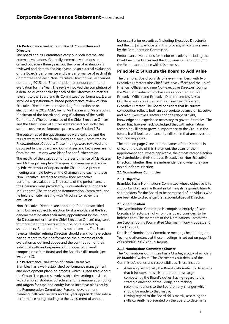# **1.6 Performance Evaluation of Board, Committees and Directors**

The Board and its Committees carry out both internal and external evaluations. Generally, external evaluations are carried out every three years but the form of evaluation is reviewed and determined each year. As an external evaluation of the Board's performance and the performance of each of its Committees and each Non-Executive Director was last carried out during 2015, the Board decided to conduct an internal evaluation for the Year. The review involved the completion of a detailed questionnaire by each of the Directors on matters relevant to the Board and its Committees' performance. It also involved a questionnaire-based performance review of Non-Executive Directors who are standing for election or reelection at the 2017 AGM, being Ms Hassan and Messrs Johns (Chairman of the Board) and Long (Chairman of the Audit Committee). (The performance of the Chief Executive Officer and the Chief Financial Officer were carried out under the senior executive performance process, see Section 1.7.)

The outcomes of the questionnaires were collated and the results were reported to the Board and each Committee by PricewaterhouseCoopers. These findings were reviewed and discussed by the Board and Committees and key issues arising from the evaluations were identified for further action.

The results of the evaluation of the performance of Ms Hassan and Mr Long arising from the questionnaires were provided by PricewaterhouseCoopers to the Chairman. A private meeting was held between the Chairman and each of those Non-Executive Directors to review their respective performance evaluations. The results of the performance of the Chairman were provided by PricewaterhouseCoopers to Mr Froggatt (Chairman of the Remuneration Committee) and he held a private meeting with Mr Johns to review the evaluation.

Non-Executive Directors are appointed for an unspecified term, but are subject to election by shareholders at the first general meeting after their initial appointment by the Board. No Director (other than the Chief Executive Officer) may serve for more than three years without being re-elected by shareholders. Re-appointment is not automatic. The Board reviews whether retiring Directors should stand for re-election, having regard to their performance, the outcome of their evaluation as outlined above and the contribution of their individual skills and experience to the desired overall composition of the Board and the Board's skills matrix (see Section 2.2).

# **1.7 Performance Evaluation of Senior Executives**

Brambles has a well-established performance management and development planning process, which is used throughout the Group. The process involves objective setting consistent with Brambles' strategic objectives and its remuneration policy and targets for cash and equity-based incentive plans set by the Remuneration Committee. Personal development planning, half-year reviews and full-year appraisals feed into a performance rating, leading to the assessment of annual

bonuses. Senior executives (including Executive Director(s) and the ELT) all participate in this process, which is overseen by the Remuneration Committee.

Performance evaluations for senior executives, including the Chief Executive Officer and the ELT, were carried out during the Year in accordance with this process.

# **Principle 2: Structure the Board to Add Value**

The Brambles Board consists of eleven members, with two Executive Directors (the Chief Executive Officer and the Chief Financial Officer) and nine Non-Executive Directors. During the Year, Mr Graham Chipchase was appointed as Chief Executive Officer and Executive Director and Ms Nessa O'Sullivan was appointed as Chief Financial Officer and Executive Director. The Board considers that its current composition reflects both an appropriate balance of Executive and Non-Executive Directors and the range of skills, knowledge and experience necessary to govern Brambles. The Board has, however, acknowledged that with information technology likely to grow in importance to the Group in the future, it will look to enhance its skill-set in that area over the forthcoming years.

The table on page 7 sets out the names of the Directors in office at the date of this Statement, the years of their appointment and, where applicable, their most recent election by shareholders, their status as Executive or Non-Executive Directors, whether they are independent and when they are next due for re-election.

# **2.1 Nominations Committee**

# **2.1.1 Objective**

Brambles has a Nominations Committee whose objective is to support and advise the Board in fulfilling its responsibilities to shareholders for the Board to be comprised of individuals who are best able to discharge the responsibilities of Directors.

# **2.1.2 Composition**

The Nominations Committee is comprised entirely of Non-Executive Directors, all of whom the Board considers to be independent. The members of the Nominations Committee are Stephen Johns (Committee Chairman), Tony Froggatt and David Gosnell.

Details of Nominations Committee meetings held during the Year, and attendance at those meetings, is set out on page 45 of Brambles' 2017 Annual Report.

# **2.1.3 Nominations Committee Charter**

The Nominations Committee has a Charter, a copy of which is on Brambles' website. The Charter sets out details of the Committee's duties and responsibilities. These include:

- Assessing periodically the Board skills matrix to determine that it includes the skills required to discharge competently the Board's duties, having regard to the strategic direction of the Group, and making recommendations to the Board on any changes which should be made to that matrix;
- Having regard to the Board skills matrix, assessing the skills currently represented on the Board to determine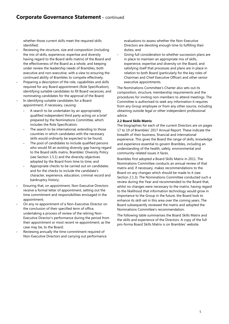whether those current skills meet the required skills identified;

- Reviewing the structure, size and composition (including the mix of skills, experience, expertise and diversity having regard to the Board skills matrix) of the Board and the effectiveness of the Board as a whole, and keeping under review the leadership needs of Brambles, both executive and non-executive, with a view to ensuring the continued ability of Brambles to compete effectively;
- Preparing a description of the role, capabilities and skills required for any Board appointment (Role Specification), identifying suitable candidates to fill Board vacancies, and nominating candidates for the approval of the Board;
- In identifying suitable candidates for a Board appointment, if necessary, causing:
	- A search to be undertaken by an appropriately qualified independent third party acting on a brief prepared by the Nominations Committee, which includes the Role Specification;
	- The search to be international, extending to those countries in which candidates with the necessary skills would ordinarily be expected to be found;
	- The pool of candidates to include qualified persons who would fill an existing diversity gap having regard to the Board skills matrix, Brambles' Diversity Policy (see Section 1.5.1) and the diversity objectives adopted by the Board from time to time; and
	- Appropriate checks to be carried out on candidates and for the checks to include the candidate's character, experience, education, criminal record and bankruptcy history;
- Ensuring that, on appointment, Non-Executive Directors receive a formal letter of appointment, setting out the time commitment and responsibilities envisaged in the appointment;
- On any re-appointment of a Non-Executive Director on the conclusion of their specified term of office, undertaking a process of review of the retiring Non-Executive Director's performance during the period from their appointment or most recent re-appointment, as the case may be, to the Board;
- Reviewing annually the time commitment required of Non-Executive Directors and carrying out performance

evaluations to assess whether the Non-Executive Directors are devoting enough time to fulfilling their duties; and

Giving full consideration to whether succession plans are in place to maintain an appropriate mix of skills, experience, expertise and diversity on the Board, and satisfying itself that processes and plans are in place in relation to both Board (particularly for the key roles of Chairman and Chief Executive Officer) and other senior executive appointments.

The Nominations Committee's Charter also sets out its composition, structure, membership requirements and the procedures for inviting non-members to attend meetings. The Committee is authorised to seek any information it requires from any Group employee or from any other source, including obtaining outside legal or other independent professional advice.

# **2.2 Board Skills Matrix**

The biographies for each of the current Directors are on pages 17 to 19 of Brambles' 2017 Annual Report. These indicate the breadth of their business, financial and international experience. This gives the Board the range of skills, knowledge and experience essential to govern Brambles, including an understanding of the health, safety, environmental and community-related issues it faces.

Brambles first adopted a Board Skills Matrix in 2011. The Nominations Committee conducts an annual review of that matrix and, if necessary, makes recommendations to the Board on any changes which should be made to it (see Section 2.1.3). The Nominations Committee conducted such a review during the Year and recommended to the Board that, whilst no changes were necessary to the matrix, having regard to the likelihood that information technology would grow in importance to the Group in the future, the Board look to enhance its skill-set in this area over the coming years. The Board subsequently reviewed the matrix and adopted the Nominations Committee's recommendation.

The following table summarises the Board Skills Matrix and the skills and experience of the Directors. A copy of the full pro-forma Board Skills Matrix is on Brambles' website.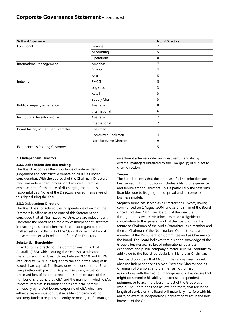# **Corporate Governance Statement** – continued

| <b>Skill and Experience</b>           |                        | No. of Directors |
|---------------------------------------|------------------------|------------------|
| Functional                            | Finance                | 7                |
|                                       | Accounting             | 5                |
|                                       | Operations             | 8                |
| <b>International Management</b>       | Americas               | 7                |
|                                       | Europe                 | 7                |
|                                       | Asia                   | 5                |
| Industry                              | <b>FMCG</b>            | 5                |
|                                       | Logistics              | 3                |
|                                       | Retail                 | 5                |
|                                       | Supply Chain           | 5                |
| Public company experience             | Australia              | 8                |
|                                       | International          | 6                |
| <b>Institutional Investor Profile</b> | Australia              | 7                |
|                                       | International          | 2                |
| Board history (other than Brambles)   | Chairman               | 1                |
|                                       | Committee Chairman     | 4                |
|                                       | Non-Executive Director | 9                |
| <b>Experience as Pooling Customer</b> |                        | 5                |

## **2.3 Independent Directors**

# **2.3.1 Independent decision-making**

The Board recognises the importance of independent judgement and constructive debate on all issues under consideration. With the approval of the Chairman, Directors may take independent professional advice at Brambles' expense in the furtherance of discharging their duties and responsibilities. None of the Directors availed themselves of this right during the Year.

# **2.3.2 Independent Directors**

The Board has considered the independence of each of the Directors in office as at the date of this Statement and concluded that all Non-Executive Directors are independent. Therefore the Board has a majority of independent Directors. In reaching this conclusion, the Board had regard to the matters set out in Box 2.3 of the CGPR. It noted that two of those matters exist in relation to four of its Directors.

# **Substantial Shareholder**

Brian Long is a director of the Commonwealth Bank of Australia (CBA), which, during the Year, was a substantial shareholder of Brambles holding between 9.64% and 8.53% (reducing to 7.46% subsequent to the end of the Year) of its issued share capital. The Board does not consider that Brian Long's relationship with CBA gives rise to any actual or perceived loss of independence on his part because of the number of shares held by CBA and the manner in which CBA's relevant interests in Brambles shares are held, namely principally by related bodies corporate of CBA which are either: a superannuation trustee; a life company holding statutory funds; a responsible entity or manager of a managed investment scheme; under an investment mandate; by external managers unrelated to the CBA group; or subject to client direction.

# **Tenure**

The Board believes that the interests of all stakeholders are best served if its composition includes a blend of experience and tenure among Directors. This is particularly the case with Brambles due to its geographic spread and its complex business models.

Stephen Johns has served as a Director for 13 years, having commenced on 1 August 2004, and as Chairman of the Board since 1 October 2014. The Board is of the view that throughout his tenure Mr Johns has made a significant contribution to the general work of the Board, during his tenure as Chairman of the Audit Committee, as a member and then as Chairman of the Nominations Committee, as a member of the Remuneration Committee and as Chairman of the Board. The Board believes that his deep knowledge of the Group's businesses, his broad international business experience and public company director skills will continue to add value to the Board, particularly in his role as Chairman.

The Board considers that Mr Johns has always maintained absolute independence as a Non-Executive Director and as Chairman of Brambles and that he has not formed associations with the Group's management or businesses that might compromise his ability to exercise independent judgment or to act in the best interest of the Group as a whole. The Board does not believe, therefore, that Mr Johns' length of service on the Board will materially interfere with his ability to exercise independent judgment or to act in the best interests of the Group.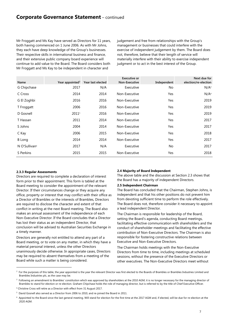# **Corporate Governance Statement** – continued

Mr Froggatt and Ms Kay have served as Directors for 11 years, both having commenced on 1 June 2006. As with Mr Johns, they each have deep knowledge of the Group's businesses. Their respective skills in international business and finance, and their extensive public company board experience will continue to add value to the Board. The Board considers both Mr Froggatt and Ms Kay to be independent in character and

judgement and free from relationships with the Group's management or businesses that could interfere with the exercise of independent judgement by them. The Board does not, therefore, believe that their length of service will materially interfere with their ability to exercise independent judgment or to act in the best interest of the Group.

| Name                      | Year appointed <sup>2</sup> | Year last elected | <b>Executive or</b><br>Non-Executive | Independent | Next due for<br>election/re-election |
|---------------------------|-----------------------------|-------------------|--------------------------------------|-------------|--------------------------------------|
| G Chipchase               | 2017                        | N/A               | Executive                            | No          | N/A <sup>3</sup>                     |
| C Cross                   | 2014                        | 2014              | Non-Executive                        | <b>Yes</b>  | N/A <sup>4</sup>                     |
| G El Zoghbi               | 2016                        | 2016              | Non-Executive                        | Yes         | 2019                                 |
| T Froggatt                | 2006                        | 2016              | Non-Executive                        | Yes         | 2019                                 |
| D Gosnell                 | 20115                       | 2016              | Non-Executive                        | Yes         | 2019                                 |
| T Hassan                  | 2011                        | 2014              | Non-Executive                        | Yes         | 2017                                 |
| S Johns                   | 2004                        | 2014              | Non-Executive                        | Yes         | 2017                                 |
| C Kay                     | 2006                        | 2015              | Non-Executive                        | Yes         | 2018                                 |
| <b>B</b> Long             | 2014                        | 2014              | Non-Executive                        | Yes         | 2017                                 |
| N O'Sullivan <sup>6</sup> | 2017                        | N/A               | Executive                            | No          | 2017                                 |
| S Perkins                 | 2015                        | 2015              | Non-Executive                        | Yes         | 2018                                 |

#### **2.3.3 Regular Assessments**

 $\overline{a}$ 

Directors are required to complete a declaration of interest form prior to their appointment. This form is tabled at the Board meeting to consider the appointment of the relevant Director. If their circumstances change or they acquire any office, property or interest that may conflict with their office as a Director of Brambles or the interests of Brambles, Directors are required to disclose the character and extent of that conflict in writing at the next Board meeting. The Board also makes an annual assessment of the independence of each Non-Executive Director. If the Board concludes that a Director has lost their status as an independent Director, that conclusion will be advised to Australian Securities Exchange in a timely manner.

Directors are generally not entitled to attend any part of a Board meeting, or to vote on any matter, in which they have a material personal interest, unless the other Directors unanimously decide otherwise. In appropriate cases, Directors may be required to absent themselves from a meeting of the Board while such a matter is being considered.

#### **2.4 Majority of Board Independent**

The above table and the discussion at Section 2.3 shows that the Board has a majority of independent Directors.

#### **2.5 Independent Chairman**

The Board has concluded that the Chairman, Stephen Johns, is independent and that his other positions do not prevent him from devoting sufficient time to perform the role effectively. The Board does not, therefore consider it necessary to appoint a lead independent Director.

The Chairman is responsible for leadership of the Board, setting the Board's agenda, conducting Board meetings, facilitating effective communication with shareholders and the conduct of shareholder meetings and facilitating the effective contribution of Non-Executive Directors. The Chairman is also responsible for fostering constructive relations between Executive and Non-Executive Directors.

The Chairman holds meetings with the Non-Executive Directors from time to time, including meetings at scheduled sessions, without the presence of the Executive Directors or other executives. The Non-Executive Directors meet without

 $^2$  For the purposes of this table, the year appointed is the year the relevant Director was first elected to the Boards of Brambles or Brambles Industries Limited and Brambles Industries plc, as the case may be.

<sup>&</sup>lt;sup>3</sup> Following an amendment to Brambles' constitution which was approved by shareholders at the 2010 AGM, it is no longer necessary for the managing director of Brambles to stand for election or re-election. Graham Chipchase holds the role of managing director, but is referred to by the title of Chief Executive Officer.

<sup>4</sup> Christine Cross will retire as a Director with effect from 31 August 2017.

<sup>&</sup>lt;sup>5</sup> David Gosnell also served as a Director from 2006 to 2010, and re-joined the Board in 2011.

<sup>&</sup>lt;sup>6</sup> Appointed to the Board since the last general meeting. Will stand for election for the first time at the 2017 AGM and, if elected, will be due for re-election at the 2020 AGM.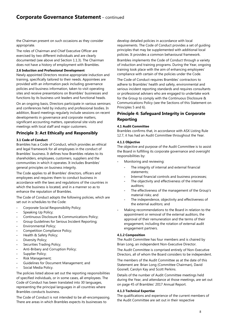the Chairman present on such occasions as they consider appropriate.

The roles of Chairman and Chief Executive Officer are exercised by two different individuals and are clearly documented (see above and Section 1.1.3). The Chairman does not have a history of employment with Brambles.

# **2.6 Induction and Professional Development**

Newly appointed Directors receive appropriate induction and training, specifically tailored to their needs. Appointees are provided with an information pack including governance policies and business information, taken to visit operating sites and receive presentations on Brambles' businesses and functions by its business unit leaders and functional heads.

On an ongoing basis, Directors participate in various seminars and conferences held by industry and professional bodies. In addition, Board meetings regularly include sessions on recent developments in governance and corporate matters, significant accounting matters, operational site visits and meetings with local staff and major customers.

# **Principle 3: Act Ethically and Responsibly**

# **3.1 Code of Conduct**

Brambles has a Code of Conduct, which provides an ethical and legal framework for all employees in the conduct of Brambles' business. It defines how Brambles relates to its shareholders, employees, customers, suppliers and the communities in which it operates. It includes Brambles' general principles on business integrity.

The Code applies to all Brambles' directors, officers and employees and requires them to conduct business in accordance with the laws and regulations of the countries in which the business is located, and in a manner so as to enhance the reputation of Brambles.

The Code of Conduct adopts the following policies, which are set out in schedules to the Code:

- Corporate Social Responsibility Policy;
- Speaking Up Policy;
- Continuous Disclosure & Communications Policy;
- Group Guidelines for Serious Incident Reporting;
- Environmental Policy;
- Competition Compliance Policy;
- Health & Safety Policy;
- Diversity Policy;
- Securities Trading Policy;
- Anti-Bribery and Corruption Policy;
- Supplier Policy;
- Risk Management;
- Guidelines for Document Management; and
- Social Media Policy.

The policies listed above set out the reporting responsibilities of specified individuals, or in some cases, all employees. The Code of Conduct has been translated into 30 languages, representing the principal languages in all countries where Brambles conducts business.

The Code of Conduct is not intended to be all-encompassing. There are areas in which Brambles expects its businesses to

develop detailed policies in accordance with local requirements. The Code of Conduct provides a set of guiding principles that may be supplemented with additional local policies. It provides a common behavioural framework.

Brambles implements the Code of Conduct through a variety of induction and training programs. During the Year, ongoing training took place with the aim of enhancing employees' compliance with certain of the policies under the Code.

The Code of Conduct requires Brambles' contractors to adhere to Brambles' health and safety, environmental and serious incident reporting standards and requires consultants or professional advisers who are engaged to undertake work for the Group to comply with the Continuous Disclosure & Communications Policy (see the Sections of this Statement on Principles 5 and 6).

# **Principle 4: Safeguard Integrity in Corporate Reporting**

# **4.1 Audit Committee**

Brambles confirms that, in accordance with ASX Listing Rule 12.7, it has had an Audit Committee throughout the Year.

## **4.1.1 Objective**

The objective and purpose of the Audit Committee is to assist the Board in fulfilling its corporate governance and oversight responsibilities by:

- Monitoring and reviewing:
	- The integrity of internal and external financial statements;
	- Internal financial controls and business processes;
	- The objectivity and effectiveness of the internal auditors;
	- The effectiveness of the management of the Group's material risks; and
	- The independence, objectivity and effectiveness of the external auditors; and
- Making recommendations to the Board in relation to the appointment or removal of the external auditors, the approval of their remuneration and the terms of their engagement, including the rotation of external audit engagement partners.

# **4.1.2 Composition**

The Audit Committee has four members and is chaired by Brian Long, an independent Non-Executive Director.

The Audit Committee is comprised entirely of Non-Executive Directors, all of whom the Board considers to be independent.

The members of the Audit Committee as at the date of this Statement are: Brian Long (Committee Chairman), David Gosnell, Carolyn Kay and Scott Perkins.

Details of the number of Audit Committee meetings held during the Year, and attendance at those meetings, are set out on page 45 of Brambles' 2017 Annual Report.

#### **4.1.3 Technical Expertise**

The qualifications and experience of the current members of the Audit Committee are set out in their respective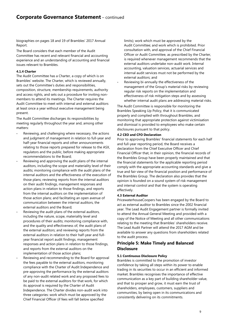biographies on pages 18 and 19 of Brambles' 2017 Annual Report.

The Board considers that each member of the Audit Committee has recent and relevant financial and accounting experience and an understanding of accounting and financial issues relevant to Brambles.

# **4.1.4 Charter**

The Audit Committee has a Charter, a copy of which is on Brambles' website. The Charter, which is reviewed annually, sets out the Committee's duties and responsibilities, composition, structure, membership requirements, authority and access rights, and sets out a procedure for inviting nonmembers to attend its meetings. The Charter requires the Audit Committee to meet with internal and external auditors at least once a year without executive management being present.

The Audit Committee discharges its responsibilities by meeting regularly throughout the year and, among other matters:

- Reviewing, and challenging where necessary, the actions and judgment of management in relation to full-year and half-year financial reports and other announcements relating to those reports prepared for release to the ASX, regulators and the public, before making appropriate recommendations to the Board;
- Reviewing and approving the audit plans of the internal auditors, including the scope and materiality level of their audits; monitoring compliance with the audit plans of the internal auditors and the effectiveness of the execution of those plans; reviewing reports from the internal auditors on their audit findings, management responses and action plans in relation to those findings, and reports from the internal auditors on the implementation of those action plans; and facilitating an open avenue of communication between the internal auditors, the external auditors and the Board;
- Reviewing the audit plans of the external auditors, including the nature, scope, materiality level and procedures of their audits; monitoring compliance with, and the quality and effectiveness of, the audit plans of the external auditors; and reviewing reports from the external auditors in relation to their half-year and fullyear financial report audit findings, management responses and action plans in relation to those findings, and reports from the external auditors on the implementation of those action plans;
- Reviewing and recommending to the Board for approval the fees payable to the external auditors, monitoring compliance with the Charter of Audit Independence and pre-approving the performance by the external auditors of any non-audit related work and any proposed fees to be paid to the external auditors for that work, for which its approval is required by the Charter of Audit Independence. The Charter divides non-audit work into three categories: work which must be approved by the Chief Financial Officer (if fees will fall below specified

limits); work which must be approved by the Audit Committee; and work which is prohibited. Prior consultation with, and approval of the Chief Financial Officer or Audit Committee, as prescribed by the Charter, is required whenever management recommends that the external auditors undertake non-audit work. Internal accounting, valuation services, actuarial services and internal audit services must not be performed by the external auditors; and

Reviewing bi-annually the effectiveness of the management of the Group's material risks by reviewing regular risk reports on the implementation and effectiveness of risk mitigation steps and by assessing whether internal audit plans are addressing material risks.

The Audit Committee is responsible for monitoring the Brambles Speaking Up Policy, that it is communicated properly and complied with throughout Brambles, and monitoring that appropriate protection against victimisation and dismissal is provided to employees who make certain disclosures pursuant to that policy.

# **4.2 CEO and CFO Declaration**

Prior to approving Brambles' financial statements for each half and full-year reporting period, the Board receives a declaration from the Chief Executive Officer and Chief Financial Officer that, in their opinion, the financial records of the Brambles Group have been properly maintained and that the financial statements for the applicable reporting period comply with the appropriate accounting standards and give a true and fair view of the financial position and performance of the Brambles Group. The declaration also provides that the opinion is founded on a sound system of risk management and internal control and that the system is operating effectively.

# **4.3 External Auditor**

PricewaterhouseCoopers has been engaged by the Board to act as external auditor to Brambles since the 2002 financial year. The Lead Audit Engagement partner is formally invited to attend the Annual General Meeting and provided with a copy of the Notice of Meeting and all other communications relating to the meeting that Brambles' shareholders receive. The Lead Audit Partner will attend the 2017 AGM and be available to answer any questions from shareholders related to the audit process.

# **Principle 5: Make Timely and Balanced Disclosure**

# **5.1 Continuous Disclosure Policy**

Brambles is committed to the promotion of investor confidence by taking all steps within its power to enable trading in its securities to occur in an efficient and informed market. Brambles recognises the importance of effective communication as a key part of building shareholder value, and that to prosper and grow, it must earn the trust of shareholders, employees, customers, suppliers and communities, by being open in its communications and consistently delivering on its commitments.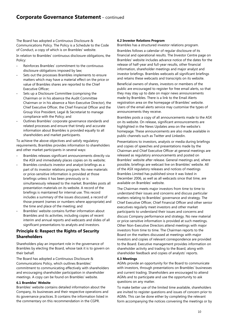The Board has adopted a Continuous Disclosure & Communications Policy. The Policy is a Schedule to the Code of Conduct, a copy of which is on Brambles' website.

In relation to Brambles' continuous disclosure obligations, the Policy:

- Reinforces Brambles' commitment to the continuous disclosure obligations imposed by law;
- Sets out the processes Brambles implements to ensure matters which may have a material effect on the price or value of Brambles shares are reported to the Chief Executive Officer;
- Sets up a Disclosure Committee (comprising the Chairman or in his absence the Audit Committee Chairman or in his absence a Non-Executive Director), the Chief Executive Officer, the Chief Financial Officer and the Group Vice President, Legal & Secretariat to manage compliance with the Policy; and
- Outlines Brambles' corporate governance standards and related processes and ensure that timely and accurate information about Brambles is provided equally to all shareholders and market participants.

To achieve the above objectives and satisfy regulatory requirements, Brambles provides information to shareholders and other market participants in several ways:

- Brambles releases significant announcements directly via the ASX and immediately places copies on its website;
- Brambles conducts investor and analyst briefings as a part of its investor relations program. No new materials or price-sensitive information is provided at those briefings unless it has been previously or is simultaneously released to the market. Brambles posts all presentation materials on its website. A record of the briefings is maintained for internal use. This record includes a summary of the issues discussed, a record of those present (names or numbers where appropriate) and the time and place of the meeting; and
- Brambles' website contains further information about Brambles and its activities, including copies of recent interim and annual reports and webcasts and slides of all significant presentations to analysts and investors.

# **Principle 6: Respect the Rights of Security Shareholders**

Shareholders play an important role in the governance of Brambles by electing the Board, whose task it is to govern on their behalf.

The Board has adopted a Continuous Disclosure & Communications Policy, which outlines Brambles' commitment to communicating effectively with shareholders and encouraging shareholder participation in shareholder meetings. A copy can be found on Brambles' website.

# **6.1 Brambles' Website**

Brambles' website contains detailed information about the Company, its businesses and their respective operations and its governance practices. It contains the information listed in the commentary on this recommendation in the CGPR.

## **6.2 Investor Relations Program**

Brambles has a structured investor relations program.

Brambles follows a calendar of regular disclosure of its financial and operational results. The Investor Centre page on Brambles' website includes advance notice of the dates for the release of half-year and full-year results, other financial information, shareholder meetings and major analyst and investor briefings. Brambles webcasts all significant briefings and retains these webcasts and transcripts on its website.

Beneficial owners of shares, investors or members of the public are encouraged to register for free email alerts, so that they may stay up to date on major news announcements made by Brambles. There is a link to the Email Alerts registration area on the homepage of Brambles' website. Users of the email alerts service may customise the types of announcements they receive.

Brambles posts a copy of all announcements made to the ASX on its website. On release, significant announcements are highlighted in the News Updates area on the website's homepage. These announcements are also made available in public channels such as Twitter and Linkedin.

Presentations to investors, analysts or media during briefings and copies of speeches and presentations made by the Chairman and Chief Executive Officer at general meetings are released as regulatory announcements and posted on Brambles' website after release. General meetings and, where possible, briefings are webcast live on Brambles' website. All of the ASX regulatory releases and notices of meetings Brambles Limited has published since it was listed in December 2006, as well as all webcasts since that time, are available on Brambles' website.

The Chairman meets major investors from time to time to understand their issues and concerns and discuss particular matters relating to Brambles' governance and strategy. The Chief Executive Officer, Chief Financial Officer and other senior executives regularly meet investors and other market participants to understand their issues and concerns and discuss Company performance and strategy. No new material or price-sensitive information is provided at such meetings. Other Non-Executive Directors attend meetings with major investors from time to time. The Chairman reports to the Board on the matters discussed at meetings with major investors and copies of relevant correspondence are provided to the Board. Executive management provides information on shareholder activity and trading to the Board, along with shareholder feedback and copies of analysts' reports.

#### **6.3 Meetings**

AGMs provide an opportunity for the Board to communicate with investors, through presentations on Brambles' businesses and current trading. Shareholders are encouraged to attend AGMs and to participate and use the opportunity to ask questions on any matter.

To make better use of the limited time available, shareholders are invited to register questions and issues of concern prior to AGMs. This can be done either by completing the relevant form accompanying the notices convening the meetings or by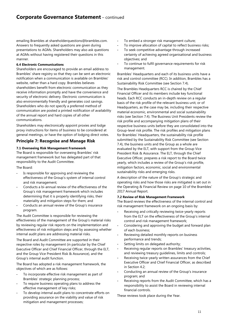emailing Brambles at shareholderquestions@brambles.com. Answers to frequently asked questions are given during presentations to AGMs. Shareholders may also ask questions at AGMs without having registered their questions in this manner.

# **6.4 Electronic Communications**

Shareholders are encouraged to provide an email address to Brambles' share registry so that they can be sent an electronic notification when a communication is available on Brambles' website, rather than a hard copy. Brambles believes shareholders benefit from electronic communication as they receive information promptly and have the convenience and security of electronic delivery. Electronic communication is also environmentally friendly and generates cost savings. Shareholders who do not specify a preferred method of communication are posted a printed notification of availability of the annual report and hard copies of all other communications.

Shareholders may electronically appoint proxies and lodge proxy instructions for items of business to be considered at general meetings, or have the option of lodging direct votes.

# **Principle 7: Recognise and Manage Risk**

# **7.1 Overseeing Risk Management Framework**

The Board is responsible for overseeing Brambles' risk management framework but has delegated part of that responsibility to the Audit Committee.

The Board:

- Is responsible for approving and reviewing the effectiveness of the Group's system of internal control and risk management;
- Conducts a bi-annual review of the effectiveness of the Group's risk management framework which includes determining that it is properly identifying risks, their materiality and mitigation steps for them; and
- Conducts an annual review of the Group's insurance program.

The Audit Committee is responsible for reviewing the effectiveness of the management of the Group's material risks by reviewing regular risk reports on the implementation and effectiveness of risk mitigation steps and by assessing whether internal audit plans are addressing material risks.

The Board and Audit Committee are supported in their respective roles by management (in particular by the Chief Executive Officer and Chief Financial Officer, through the ELT, and the Group Vice President Risk & Assurance), and the Group's internal audit function.

The Board has adopted a risk management framework, the objectives of which are as follows:

- To incorporate effective risk management as part of Brambles' strategic planning process;
- To require business operating plans to address the effective management of key risks;
- To develop internal audit plans to concentrate efforts on providing assurance on the viability and value of risk mitigation and management processes;
- To embed a stronger risk management culture;
- To improve allocation of capital to reflect business risks;
- To seek competitive advantage through increased certainty of achieving agreed organisational and business objectives; and
- To continue to fulfil governance requirements for risk management.

Brambles' Headquarters and each of its business units have a risk and control committee (RCC). In addition, Brambles has a Sustainability Risk Committee (see Section 7.4).

The Brambles Headquarters RCC is chaired by the Chief Financial Officer and its members include key functional heads. Each RCC conducts an in-depth review on a regular basis of the risk profile of the relevant business unit, or of Headquarters, as the case may be, including their respective material economic, environmental and social sustainability risks (see Section 7.4). The Business Unit Presidents review the risk profile and accompanying mitigation plans of their respective business units before they are consolidated into the Group-level risk profile. The risk profiles and mitigation plans for Brambles' Headquarters, the sustainability risk profile submitted by the Sustainability Risk Committee (see Section 7.4), the business units and the Group as a whole are evaluated by the ELT, with support from the Group Vice President Risk & Assurance. The ELT, through the Chief Executive Officer, prepares a risk report to the Board twice yearly, which includes a review of the Group's risk profile, mitigation factors, economic, social and environmental sustainability risks and emerging risks.

A description of the nature of the Group's strategic and operating risks and how those risks are mitigated is set out in the Operating & Financial Review on page 10 of the Brambles' 2017 Annual Report.

# **7.2 Review of Risk Management Framework**

The Board reviews the effectiveness of the internal control and risk management framework on an ongoing basis by:

- Receiving and critically reviewing twice-yearly reports from the ELT on the effectiveness of the Group's internal control and risk management framework;
- Considering and approving the budget and forward plan of each business;
- Reviewing detailed monthly reports on business performance and trends;
- Setting limits on delegated authority;
- Receiving regular reports on Brambles' treasury activities, and reviewing treasury guidelines, limits and controls;
- Receiving twice-yearly written assurances from the Chief Executive Officer and Chief Financial Officer, as described in Section 4.2;
- Conducting an annual review of the Group's insurance program; and
- Receiving reports from the Audit Committee, which has a responsibility to assist the Board in reviewing internal financial controls.

These reviews took place during the Year.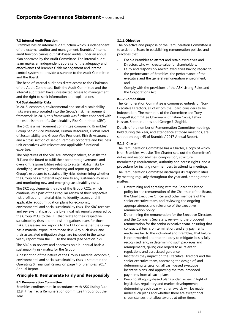# **7.3 Internal Audit Function**

Brambles has an internal audit function which is independent of the external auditor and management. Brambles' internal audit function carries out risk-based audits under an annual plan approved by the Audit Committee. The internal audit team makes an independent appraisal of the adequacy and effectiveness of Brambles' risk management and internal control system, to provide assurance to the Audit Committee and the Board.

The head of internal audit has direct access to the Chairman of the Audit Committee. Both the Audit Committee and the internal audit team have unrestricted access to management and the right to seek information and explanations.

## **7.4 Sustainability Risks**

In 2015, economic, environmental and social sustainability risks were incorporated into the Group's risk management framework. In 2016, this framework was further enhanced with the establishment of a Sustainability Risk Committee (SRC).

The SRC is a management committee comprising Brambles' Group Senior Vice President, Human Resources, Global Head of Sustainability and Group Vice President, Risk & Assurance and a cross section of senior Brambles corporate and business unit executives with relevant and applicable functional expertise.

The objectives of the SRC are, amongst others, to assist the ELT and the Board to fulfil their corporate governance and oversight responsibilities relating to sustainability risks by identifying, assessing, monitoring and reporting on the Group's exposure to sustainability risks, determining whether the Group has a material exposure to any sustainability risks and monitoring new and emerging sustainability risks.

The SRC supplements the role of the Group RCCs, which continue, as a part of their regular review of their respective risk profiles and material risks, to identify, assess and, if applicable, adopt mitigation plans for economic, environmental and social sustainability risks. The SRC receives and reviews that part of the bi-annual risk reports prepared by the Group RCCs to the ELT that relate to their respective sustainability risks and the risk mitigations plans for those risks. It assesses and reports to the ELT on whether the Group has a material exposure to those risks. Any such risks, and their associated mitigation steps, are included in the twice yearly report from the ELT to the Board (see Section 7.2).

The SRC also reviews and approves on a bi-annual basis a sustainability risk matrix for the Group.

A description of the nature of the Group's material economic, environmental and social sustainability risks is set out in the Operating & Financial Review on page 4 of Brambles' 2017 Annual Report.

# **Principle 8: Remunerate Fairly and Responsibly**

# **8.1 Remuneration Committee**

Brambles confirms that, in accordance with ASX Listing Rule 12.8, it has had a Remuneration Committee throughout the Year.

#### **8.1.1 Objective**

The objective and purpose of the Remuneration Committee is to assist the Board in establishing remuneration policies and practices that:

- Enable Brambles to attract and retain executives and Directors who will create value for shareholders;
- Fairly and responsibly reward executives having regard to the performance of Brambles, the performance of the executive and the general remuneration environment; and
- Comply with the provisions of the ASX Listing Rules and the Corporations Act.

## **8.1.2 Composition**

The Remuneration Committee is comprised entirely of Non-Executive Directors, all of whom the Board considers to be independent. The members of the Committee are: Tony Froggatt (Committee Chairman), Christine Cross, Tahira Hassan, Stephen Johns and George El Zoghbi.

Details of the number of Remuneration Committee meetings held during the Year, and attendance at those meetings, are set out on page 45 of Brambles' 2017 Annual Report.

## **8.1.3 Charter**

The Remuneration Committee has a Charter, a copy of which is on Brambles' website. The Charter sets out the Committee's duties and responsibilities, composition, structure, membership requirements, authority and access rights, and a procedure for inviting non-members to attend its meetings.

The Remuneration Committee discharges its responsibilities by meeting regularly throughout the year and, among other matters:

- Determining and agreeing with the Board the broad policy for the remuneration of the Chairman of the Board, the Chief Executive Officer and other members of the senior executive team, and reviewing the ongoing appropriateness and relevance of the executive remuneration policy;
- Determining the remuneration for the Executive Directors and the Company Secretary, reviewing the proposed remuneration for the senior executive team, ensuring that contractual terms on termination, and any payments made, are fair to the individual and Brambles, that failure is not rewarded and that the duty to mitigate loss is fully recognised, and, in determining such packages and arrangements, giving due regard to all relevant regulations and associated guidance;
- Insofar as they impact on the Executive Directors and the senior executive team, approving the design of, and determining targets for, all cash-based executive incentive plans, and approving the total proposed payments from all such plans;
- Keeping all equity-based plans under review in light of legislative, regulatory and market developments; determining each year whether awards will be made under such plans and whether there are exceptional circumstances that allow awards at other times;